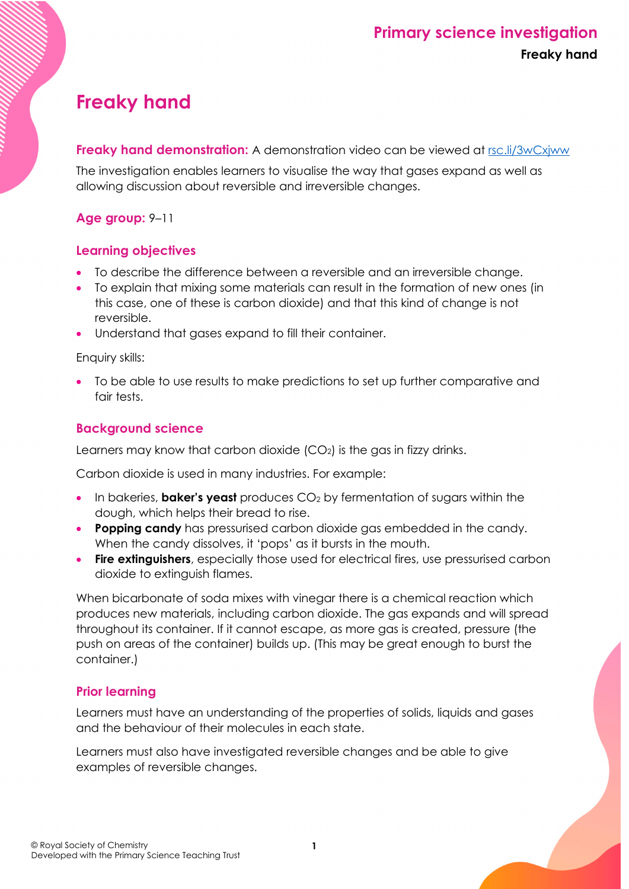# **Freaky hand**

**Freaky hand demonstration:** A demonstration video can be viewed at [rsc.li/3wCxjww](https://rsc.li/3wCxjww)

The investigation enables learners to visualise the way that gases expand as well as allowing discussion about reversible and irreversible changes.

### **Age group:** 9–11

### **Learning objectives**

- To describe the difference between a reversible and an irreversible change.
- To explain that mixing some materials can result in the formation of new ones (in this case, one of these is carbon dioxide) and that this kind of change is not reversible.
- Understand that gases expand to fill their container.

Enquiry skills:

• To be able to use results to make predictions to set up further comparative and fair tests.

# **Background science**

Learners may know that carbon dioxide (CO2) is the gas in fizzy drinks.

Carbon dioxide is used in many industries. For example:

- In bakeries, **baker's yeast** produces CO<sub>2</sub> by fermentation of sugars within the dough, which helps their bread to rise.
- **Popping candy** has pressurised carbon dioxide gas embedded in the candy. When the candy dissolves, it 'pops' as it bursts in the mouth.
- **Fire extinguishers**, especially those used for electrical fires, use pressurised carbon dioxide to extinguish flames.

When bicarbonate of soda mixes with vinegar there is a chemical reaction which produces new materials, including carbon dioxide. The gas expands and will spread throughout its container. If it cannot escape, as more gas is created, pressure (the push on areas of the container) builds up. (This may be great enough to burst the container.)

# **Prior learning**

Learners must have an understanding of the properties of solids, liquids and gases and the behaviour of their molecules in each state.

Learners must also have investigated reversible changes and be able to give examples of reversible changes.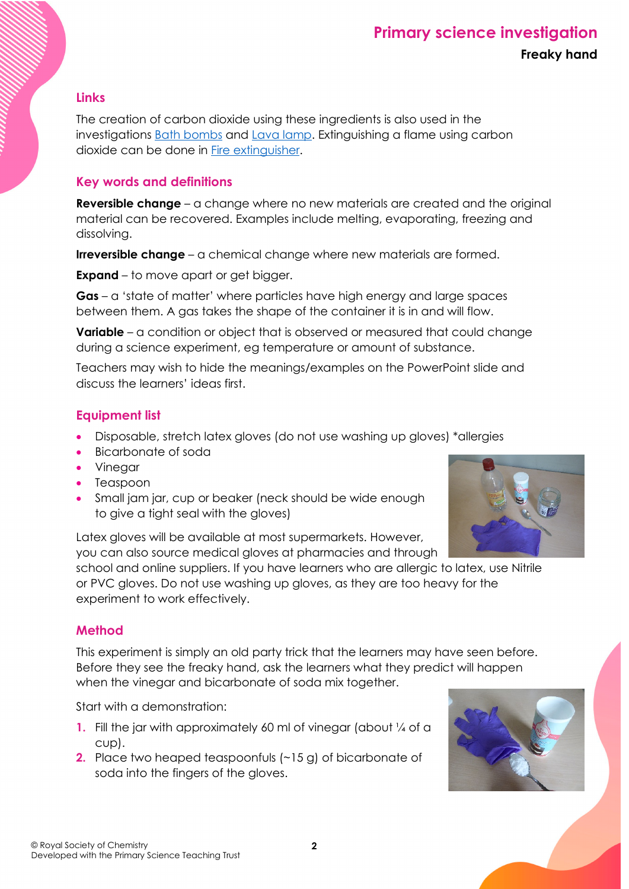#### **Links**

The creation of carbon dioxide using these ingredients is also used in the investigations [Bath bombs](https://rsc.li/3efldTq) and [Lava lamp.](https://rsc.li/36Ba0bO) Extinguishing a flame using carbon dioxide can be done in [Fire extinguisher.](https://rsc.li/3wOAQYN)

#### **Key words and definitions**

**Reversible change** – a change where no new materials are created and the original material can be recovered. Examples include melting, evaporating, freezing and dissolving.

**Irreversible change** – a chemical change where new materials are formed.

**Expand** – to move apart or get bigger.

**Gas** – a 'state of matter' where particles have high energy and large spaces between them. A gas takes the shape of the container it is in and will flow.

**Variable** – a condition or object that is observed or measured that could change during a science experiment, eg temperature or amount of substance.

Teachers may wish to hide the meanings/examples on the PowerPoint slide and discuss the learners' ideas first.

### **Equipment list**

- Disposable, stretch latex gloves (do not use washing up gloves) \*allergies
- Bicarbonate of soda
- Vinegar
- Teaspoon
- Small jam jar, cup or beaker (neck should be wide enough to give a tight seal with the gloves)

Latex gloves will be available at most supermarkets. However, you can also source medical gloves at pharmacies and through



school and online suppliers. If you have learners who are allergic to latex, use Nitrile or PVC gloves. Do not use washing up gloves, as they are too heavy for the experiment to work effectively.

#### **Method**

This experiment is simply an old party trick that the learners may have seen before. Before they see the freaky hand, ask the learners what they predict will happen when the vinegar and bicarbonate of soda mix together.

Start with a demonstration:

- **1.** Fill the jar with approximately 60 ml of vinegar (about 1/4 of a cup).
- **2.** Place two heaped teaspoonfuls (~15 g) of bicarbonate of soda into the fingers of the gloves.

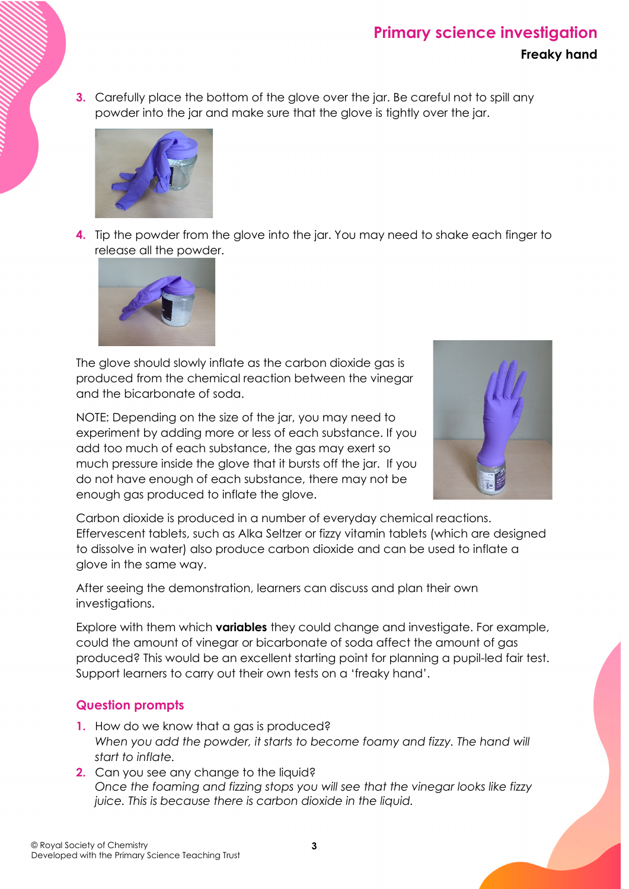**3.** Carefully place the bottom of the glove over the jar. Be careful not to spill any powder into the jar and make sure that the glove is tightly over the jar.



**4.** Tip the powder from the glove into the jar. You may need to shake each finger to release all the powder.



The glove should slowly inflate as the carbon dioxide gas is produced from the chemical reaction between the vinegar and the bicarbonate of soda.

NOTE: Depending on the size of the jar, you may need to experiment by adding more or less of each substance. If you add too much of each substance, the gas may exert so much pressure inside the glove that it bursts off the jar. If you do not have enough of each substance, there may not be enough gas produced to inflate the glove.



Carbon dioxide is produced in a number of everyday chemical reactions. Effervescent tablets, such as Alka Seltzer or fizzy vitamin tablets (which are designed to dissolve in water) also produce carbon dioxide and can be used to inflate a glove in the same way.

After seeing the demonstration, learners can discuss and plan their own investigations.

Explore with them which **variables** they could change and investigate. For example, could the amount of vinegar or bicarbonate of soda affect the amount of gas produced? This would be an excellent starting point for planning a pupil-led fair test. Support learners to carry out their own tests on a 'freaky hand'.

### **Question prompts**

- **1.** How do we know that a gas is produced? *When you add the powder, it starts to become foamy and fizzy. The hand will start to inflate.*
- **2.** Can you see any change to the liquid? *Once the foaming and fizzing stops you will see that the vinegar looks like fizzy juice. This is because there is carbon dioxide in the liquid.*